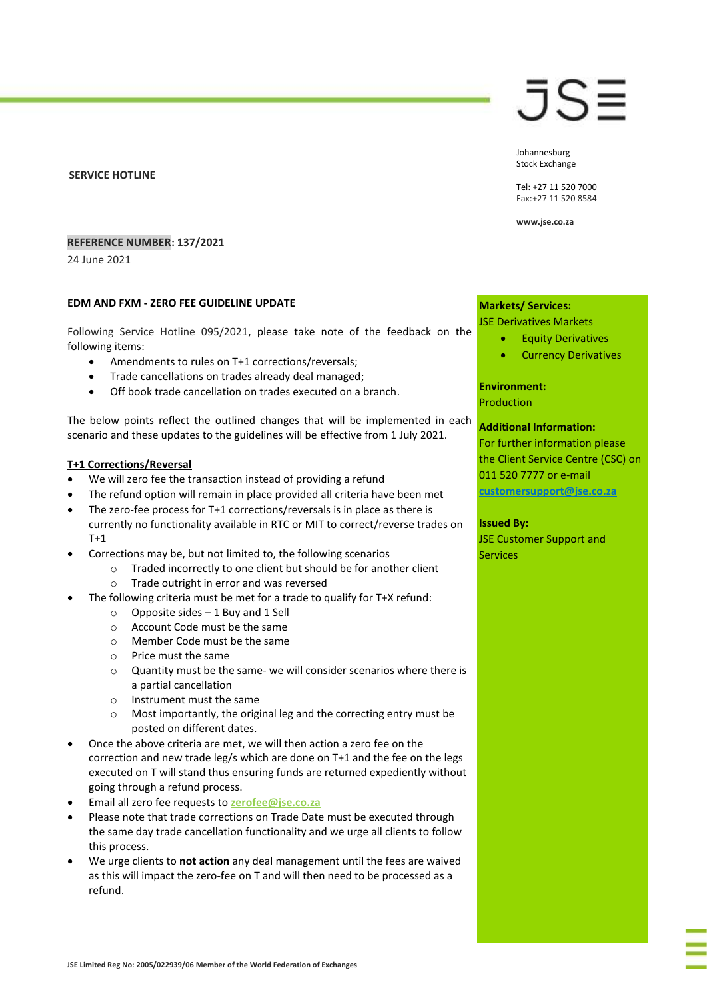#### **SERVICE HOTLINE**

### **REFERENCE NUMBER: 137/2021**

24 June 2021

#### **EDM AND FXM - ZERO FEE GUIDELINE UPDATE**

Following Service Hotline 095/2021, please take note of the feedback on the following items:

- Amendments to rules on T+1 corrections/reversals;
- Trade cancellations on trades already deal managed;
- Off book trade cancellation on trades executed on a branch.

The below points reflect the outlined changes that will be implemented in each scenario and these updates to the guidelines will be effective from 1 July 2021.

## **T+1 Corrections/Reversal**

- We will zero fee the transaction instead of providing a refund
- The refund option will remain in place provided all criteria have been met
- The zero-fee process for T+1 corrections/reversals is in place as there is currently no functionality available in RTC or MIT to correct/reverse trades on T+1
- Corrections may be, but not limited to, the following scenarios
	- o Traded incorrectly to one client but should be for another client o Trade outright in error and was reversed
- The following criteria must be met for a trade to qualify for T+X refund:
	- $\circ$  Opposite sides 1 Buy and 1 Sell
	- o Account Code must be the same
	- o Member Code must be the same
	- o Price must the same
	- o Quantity must be the same- we will consider scenarios where there is a partial cancellation
	- o Instrument must the same
	- o Most importantly, the original leg and the correcting entry must be posted on different dates.
- Once the above criteria are met, we will then action a zero fee on the correction and new trade leg/s which are done on T+1 and the fee on the legs executed on T will stand thus ensuring funds are returned expediently without going through a refund process.
- Email all zero fee requests to **[zerofee@jse.co.za](mailto:zerofee@jse.co.za)**
- Please note that trade corrections on Trade Date must be executed through the same day trade cancellation functionality and we urge all clients to follow this process.
- We urge clients to **not action** any deal management until the fees are waived as this will impact the zero-fee on T and will then need to be processed as a refund.

## JS≣

Johannesburg Stock Exchange

Tel: +27 11 520 7000 Fax:+27 11 520 8584

**www.jse.co.za**

## **Markets/ Services:**

#### JSE Derivatives Markets

- Equity Derivatives
- Currency Derivatives

## **Environment:**

Production

#### **Additional Information:**

For further information please the Client Service Centre (CSC) on 011 520 7777 or e-mail **customersupport@jse.co.za**

#### **Issued By:**

JSE Customer Support and **Services**